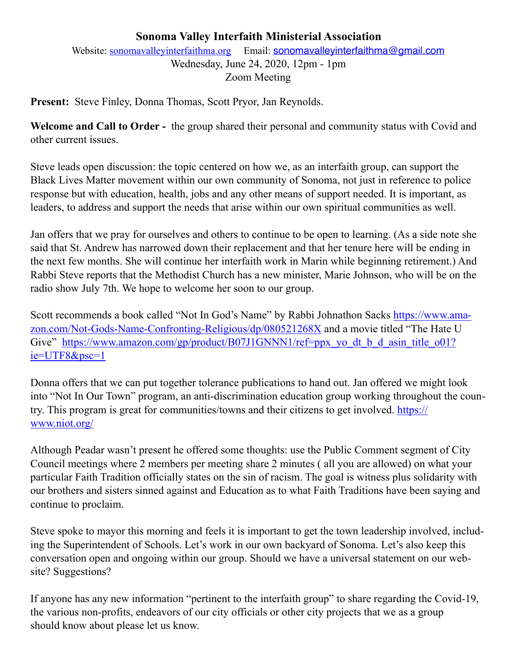## **Sonoma Valley Interfaith Ministerial Association**

Website: [sonomavalleyinterfaithma.org](http://sonomavalleyinterfaithma.org) Email: [sonomavalleyinterfaithma@gmail.com](mailto:sonomavalleyinterfaithma@gmail.com) Wednesday, June 24, 2020, 12pm - 1pm Zoom Meeting

**Present:** Steve Finley, Donna Thomas, Scott Pryor, Jan Reynolds.

**Welcome and Call to Order -** the group shared their personal and community status with Covid and other current issues.

Steve leads open discussion: the topic centered on how we, as an interfaith group, can support the Black Lives Matter movement within our own community of Sonoma, not just in reference to police response but with education, health, jobs and any other means of support needed. It is important, as leaders, to address and support the needs that arise within our own spiritual communities as well.

Jan offers that we pray for ourselves and others to continue to be open to learning. (As a side note she said that St. Andrew has narrowed down their replacement and that her tenure here will be ending in the next few months. She will continue her interfaith work in Marin while beginning retirement.) And Rabbi Steve reports that the Methodist Church has a new minister, Marie Johnson, who will be on the radio show July 7th. We hope to welcome her soon to our group.

Scott recommends a book called "Not In God's Name" by Rabbi Johnathon Sacks [https://www.ama](https://www.amazon.com/Not-Gods-Name-Confronting-Religious/dp/080521268X)[zon.com/Not-Gods-Name-Confronting-Religious/dp/080521268X](https://www.amazon.com/Not-Gods-Name-Confronting-Religious/dp/080521268X) and a movie titled "The Hate U Give" https://www.amazon.com/gp/product/B07J1GNNN1/ref=ppx yo dt b d asin title o01? [ie=UTF8&psc=1](https://www.amazon.com/gp/product/B07J1GNNN1/ref=ppx_yo_dt_b_d_asin_title_o01?ie=UTF8&psc=1)

Donna offers that we can put together tolerance publications to hand out. Jan offered we might look into "Not In Our Town" program, an anti-discrimination education group working throughout the country. This program is great for communities/towns and their citizens to get involved. [https://](https://www.niot.org/) [www.niot.org/](https://www.niot.org/)

Although Peadar wasn't present he offered some thoughts: use the Public Comment segment of City Council meetings where 2 members per meeting share 2 minutes ( all you are allowed) on what your particular Faith Tradition officially states on the sin of racism. The goal is witness plus solidarity with our brothers and sisters sinned against and Education as to what Faith Traditions have been saying and continue to proclaim.

Steve spoke to mayor this morning and feels it is important to get the town leadership involved, including the Superintendent of Schools. Let's work in our own backyard of Sonoma. Let's also keep this conversation open and ongoing within our group. Should we have a universal statement on our website? Suggestions?

If anyone has any new information "pertinent to the interfaith group" to share regarding the Covid-19, the various non-profits, endeavors of our city officials or other city projects that we as a group should know about please let us know.